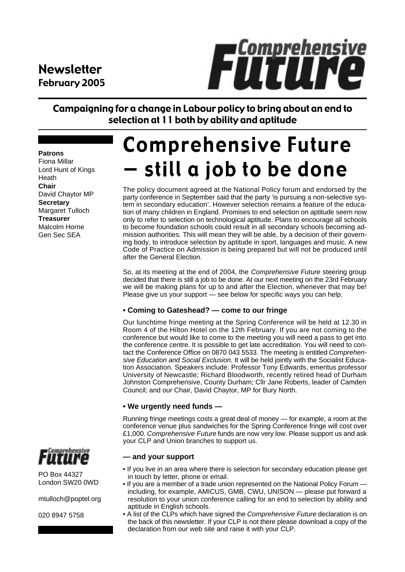### **Newsletter** February 2005



Campaigning for a change in Labour policy to bring about an end to selection at 11 both by ability and aptitude

#### **Patrons**

Fiona Millar Lord Hunt of Kings Heath **Chair** David Chaytor MP **Secretary** Margaret Tulloch **Treasurer** Malcolm Horne Gen Sec SEA

# **Comprehensive Future** still a job to be done

The policy document agreed at the National Policy forum and endorsed by the party conference in September said that the party 'is pursuing a non-selective system in secondary education'. However selection remains a feature of the education of many children in England. Promises to end selection on aptitude seem now only to refer to selection on technological aptitude. Plans to encourage all schools to become foundation schools could result in all secondary schools becoming admission authorities. This will mean they will be able, by a decision of their governing body, to introduce selection by aptitude in sport, languages and music. A new Code of Practice on Admission is being prepared but will not be produced until after the General Election.

So, at its meeting at the end of 2004, the *Comprehensive Future* steering group decided that there is still a job to be done. At our next meeting on the 23rd February we will be making plans for up to and after the Election, whenever that may be! Please give us your support — see below for specific ways you can help.

#### **• Coming to Gateshead? — come to our fringe**

Our lunchtime fringe meeting at the Spring Conference will be held at 12.30 in Room 4 of the Hilton Hotel on the 12th February. If you are not coming to the conference but would like to come to the meeting you will need a pass to get into the conference centre. It is possible to get late accreditation. You will need to contact the Conference Office on 0870 043 5533. The meeting is entitled *Comprehensive Education and Social Exclusion*. It will be held jointly with the Socialist Education Association. Speakers include: Professor Tony Edwards, emeritus professor University of Newcastle; Richard Bloodworth, recently retired head of Durham Johnston Comprehensive, County Durham; Cllr Jane Roberts, leader of Camden Council; and our Chair, David Chaytor, MP for Bury North.

#### **• We urgently need funds —**

Running fringe meetings costs a great deal of money — for example, a room at the conference venue plus sandwiches for the Spring Conference fringe will cost over £1,000. *Comprehensive Future* funds are now very low. Please support us and ask your CLP and Union branches to support us.

#### **— and your support**

- If you live in an area where there is selection for secondary education please get in touch by letter, phone or email.
- If you are a member of a trade union represented on the National Policy Forum including, for example, AMICUS, GMB, CWU, UNISON — please put forward a resolution to your union conference calling for an end to selection by ability and aptitude in English schools.
- A list of the CLPs which have signed the *Comprehensive Future* declaration is on the back of this newsletter. If your CLP is not there please download a copy of the declaration from our web site and raise it with your CLP.



PO Box 44327 London SW20 0WD

mtulloch@poptel.org

020 8947 5758